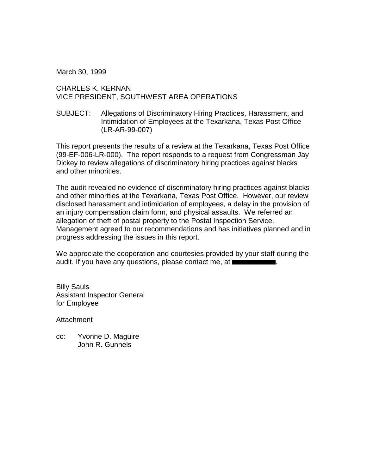March 30, 1999

## CHARLES K. KERNAN VICE PRESIDENT, SOUTHWEST AREA OPERATIONS

SUBJECT: Allegations of Discriminatory Hiring Practices, Harassment, and Intimidation of Employees at the Texarkana, Texas Post Office (LR-AR-99-007)

This report presents the results of a review at the Texarkana, Texas Post Office (99-EF-006-LR-000). The report responds to a request from Congressman Jay Dickey to review allegations of discriminatory hiring practices against blacks and other minorities.

The audit revealed no evidence of discriminatory hiring practices against blacks and other minorities at the Texarkana, Texas Post Office. However, our review disclosed harassment and intimidation of employees, a delay in the provision of an injury compensation claim form, and physical assaults. We referred an allegation of theft of postal property to the Postal Inspection Service. Management agreed to our recommendations and has initiatives planned and in progress addressing the issues in this report.

We appreciate the cooperation and courtesies provided by your staff during the audit. If you have any questions, please contact me, at  $\blacksquare$ 

Billy Sauls Assistant Inspector General for Employee

Attachment

cc: Yvonne D. Maguire John R. Gunnels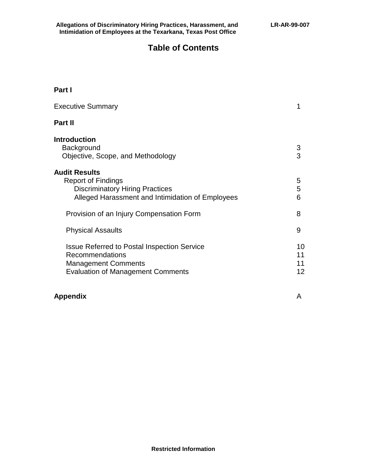# **Table of Contents**

## **Part I**

| <b>Executive Summary</b>                                                                                                                        |                      |
|-------------------------------------------------------------------------------------------------------------------------------------------------|----------------------|
| Part II                                                                                                                                         |                      |
| <b>Introduction</b><br>Background<br>Objective, Scope, and Methodology                                                                          | 3<br>3               |
| <b>Audit Results</b><br><b>Report of Findings</b><br><b>Discriminatory Hiring Practices</b><br>Alleged Harassment and Intimidation of Employees | 5<br>5<br>6          |
| Provision of an Injury Compensation Form                                                                                                        | 8                    |
| <b>Physical Assaults</b>                                                                                                                        | 9                    |
| <b>Issue Referred to Postal Inspection Service</b><br>Recommendations<br><b>Management Comments</b><br><b>Evaluation of Management Comments</b> | 10<br>11<br>11<br>12 |

## **Appendix** A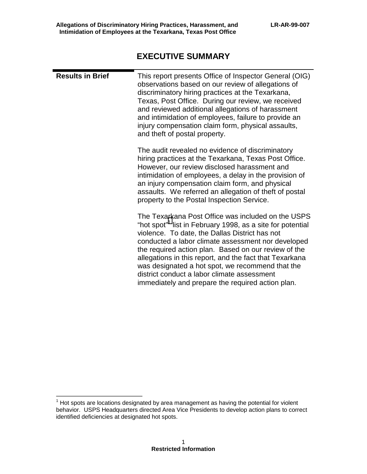# **EXECUTIVE SUMMARY**

| <b>Results in Brief</b> | This report presents Office of Inspector General (OIG)<br>observations based on our review of allegations of<br>discriminatory hiring practices at the Texarkana,<br>Texas, Post Office. During our review, we received<br>and reviewed additional allegations of harassment<br>and intimidation of employees, failure to provide an<br>injury compensation claim form, physical assaults,<br>and theft of postal property.                                                                                     |
|-------------------------|-----------------------------------------------------------------------------------------------------------------------------------------------------------------------------------------------------------------------------------------------------------------------------------------------------------------------------------------------------------------------------------------------------------------------------------------------------------------------------------------------------------------|
|                         | The audit revealed no evidence of discriminatory<br>hiring practices at the Texarkana, Texas Post Office.<br>However, our review disclosed harassment and<br>intimidation of employees, a delay in the provision of<br>an injury compensation claim form, and physical<br>assaults. We referred an allegation of theft of postal<br>property to the Postal Inspection Service.                                                                                                                                  |
|                         | The Texarkana Post Office was included on the USPS<br>"hot spot" <sup>1</sup> list in February 1998, as a site for potential<br>violence. To date, the Dallas District has not<br>conducted a labor climate assessment nor developed<br>the required action plan. Based on our review of the<br>allegations in this report, and the fact that Texarkana<br>was designated a hot spot, we recommend that the<br>district conduct a labor climate assessment<br>immediately and prepare the required action plan. |

 $1$  Hot spots are locations designated by area management as having the potential for violent behavior. USPS Headquarters directed Area Vice Presidents to develop action plans to correct identified deficiencies at designated hot spots.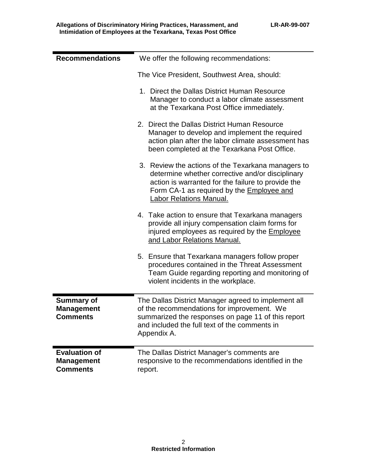| <b>Recommendations</b>                                       | We offer the following recommendations:                                                                                                                                                                                              |
|--------------------------------------------------------------|--------------------------------------------------------------------------------------------------------------------------------------------------------------------------------------------------------------------------------------|
|                                                              | The Vice President, Southwest Area, should:                                                                                                                                                                                          |
|                                                              | 1. Direct the Dallas District Human Resource<br>Manager to conduct a labor climate assessment<br>at the Texarkana Post Office immediately.                                                                                           |
|                                                              | 2. Direct the Dallas District Human Resource<br>Manager to develop and implement the required<br>action plan after the labor climate assessment has<br>been completed at the Texarkana Post Office.                                  |
|                                                              | 3. Review the actions of the Texarkana managers to<br>determine whether corrective and/or disciplinary<br>action is warranted for the failure to provide the<br>Form CA-1 as required by the Employee and<br>Labor Relations Manual. |
|                                                              | 4. Take action to ensure that Texarkana managers<br>provide all injury compensation claim forms for<br>injured employees as required by the Employee<br>and Labor Relations Manual.                                                  |
|                                                              | 5. Ensure that Texarkana managers follow proper<br>procedures contained in the Threat Assessment<br>Team Guide regarding reporting and monitoring of<br>violent incidents in the workplace.                                          |
| <b>Summary of</b><br><b>Management</b><br><b>Comments</b>    | The Dallas District Manager agreed to implement all<br>of the recommendations for improvement. We<br>summarized the responses on page 11 of this report<br>and included the full text of the comments in<br>Appendix A.              |
| <b>Evaluation of</b><br><b>Management</b><br><b>Comments</b> | The Dallas District Manager's comments are<br>responsive to the recommendations identified in the<br>report.                                                                                                                         |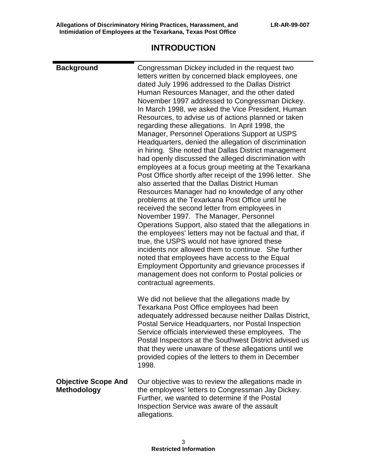# **INTRODUCTION**

| <b>Background</b>                                | Congressman Dickey included in the request two<br>letters written by concerned black employees, one<br>dated July 1996 addressed to the Dallas District<br>Human Resources Manager, and the other dated<br>November 1997 addressed to Congressman Dickey.<br>In March 1998, we asked the Vice President, Human<br>Resources, to advise us of actions planned or taken<br>regarding these allegations. In April 1998, the<br>Manager, Personnel Operations Support at USPS<br>Headquarters, denied the allegation of discrimination<br>in hiring. She noted that Dallas District management<br>had openly discussed the alleged discrimination with<br>employees at a focus group meeting at the Texarkana<br>Post Office shortly after receipt of the 1996 letter. She<br>also asserted that the Dallas District Human<br>Resources Manager had no knowledge of any other<br>problems at the Texarkana Post Office until he<br>received the second letter from employees in<br>November 1997. The Manager, Personnel<br>Operations Support, also stated that the allegations in<br>the employees' letters may not be factual and that, if<br>true, the USPS would not have ignored these<br>incidents nor allowed them to continue. She further<br>noted that employees have access to the Equal<br>Employment Opportunity and grievance processes if<br>management does not conform to Postal policies or<br>contractual agreements. |
|--------------------------------------------------|---------------------------------------------------------------------------------------------------------------------------------------------------------------------------------------------------------------------------------------------------------------------------------------------------------------------------------------------------------------------------------------------------------------------------------------------------------------------------------------------------------------------------------------------------------------------------------------------------------------------------------------------------------------------------------------------------------------------------------------------------------------------------------------------------------------------------------------------------------------------------------------------------------------------------------------------------------------------------------------------------------------------------------------------------------------------------------------------------------------------------------------------------------------------------------------------------------------------------------------------------------------------------------------------------------------------------------------------------------------------------------------------------------------------------------------|
|                                                  | We did not believe that the allegations made by<br>Texarkana Post Office employees had been<br>adequately addressed because neither Dallas District,<br>Postal Service Headquarters, nor Postal Inspection<br>Service officials interviewed these employees. The<br>Postal Inspectors at the Southwest District advised us<br>that they were unaware of these allegations until we<br>provided copies of the letters to them in December<br>1998.                                                                                                                                                                                                                                                                                                                                                                                                                                                                                                                                                                                                                                                                                                                                                                                                                                                                                                                                                                                     |
| <b>Objective Scope And</b><br><b>Methodology</b> | Our objective was to review the allegations made in<br>the employees' letters to Congressman Jay Dickey.<br>Further, we wanted to determine if the Postal<br>Inspection Service was aware of the assault<br>allegations.                                                                                                                                                                                                                                                                                                                                                                                                                                                                                                                                                                                                                                                                                                                                                                                                                                                                                                                                                                                                                                                                                                                                                                                                              |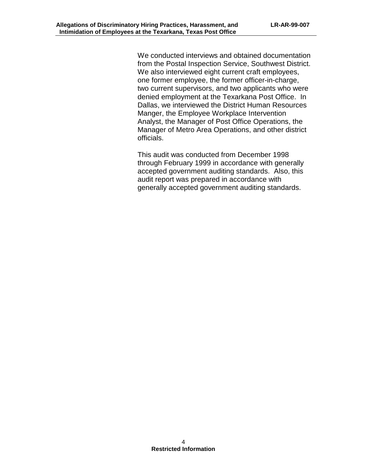We conducted interviews and obtained documentation from the Postal Inspection Service, Southwest District. We also interviewed eight current craft employees, one former employee, the former officer-in-charge, two current supervisors, and two applicants who were denied employment at the Texarkana Post Office. In Dallas, we interviewed the District Human Resources Manger, the Employee Workplace Intervention Analyst, the Manager of Post Office Operations, the Manager of Metro Area Operations, and other district officials.

This audit was conducted from December 1998 through February 1999 in accordance with generally accepted government auditing standards. Also, this audit report was prepared in accordance with generally accepted government auditing standards.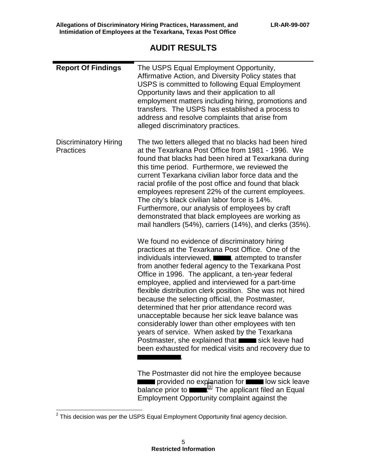# **AUDIT RESULTS**

| <b>Report Of Findings</b>                        | The USPS Equal Employment Opportunity,<br>Affirmative Action, and Diversity Policy states that<br>USPS is committed to following Equal Employment<br>Opportunity laws and their application to all<br>employment matters including hiring, promotions and<br>transfers. The USPS has established a process to<br>address and resolve complaints that arise from<br>alleged discriminatory practices.                                                                                                                                                                                                                                                                                                                                                                      |
|--------------------------------------------------|---------------------------------------------------------------------------------------------------------------------------------------------------------------------------------------------------------------------------------------------------------------------------------------------------------------------------------------------------------------------------------------------------------------------------------------------------------------------------------------------------------------------------------------------------------------------------------------------------------------------------------------------------------------------------------------------------------------------------------------------------------------------------|
| <b>Discriminatory Hiring</b><br><b>Practices</b> | The two letters alleged that no blacks had been hired<br>at the Texarkana Post Office from 1981 - 1996. We<br>found that blacks had been hired at Texarkana during<br>this time period. Furthermore, we reviewed the<br>current Texarkana civilian labor force data and the<br>racial profile of the post office and found that black<br>employees represent 22% of the current employees.<br>The city's black civilian labor force is 14%.<br>Furthermore, our analysis of employees by craft<br>demonstrated that black employees are working as<br>mail handlers (54%), carriers (14%), and clerks (35%).                                                                                                                                                              |
|                                                  | We found no evidence of discriminatory hiring<br>practices at the Texarkana Post Office. One of the<br>individuals interviewed, <b>we are all attempted to transfer</b><br>from another federal agency to the Texarkana Post<br>Office in 1996. The applicant, a ten-year federal<br>employee, applied and interviewed for a part-time<br>flexible distribution clerk position. She was not hired<br>because the selecting official, the Postmaster,<br>determined that her prior attendance record was<br>unacceptable because her sick leave balance was<br>considerably lower than other employees with ten<br>years of service. When asked by the Texarkana<br>Postmaster, she explained that suck leave had<br>been exhausted for medical visits and recovery due to |
|                                                  | The Postmaster did not hire the employee because<br>provided no explanation for <b>the law sick leave</b><br>balance prior to $\mathbf{r}$ The applicant filed an Equal                                                                                                                                                                                                                                                                                                                                                                                                                                                                                                                                                                                                   |

Employment Opportunity complaint against the

 $2$  This decision was per the USPS Equal Employment Opportunity final agency decision.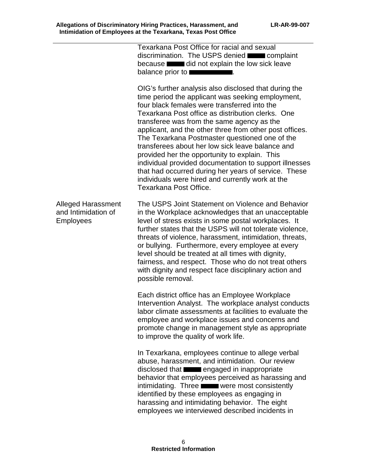|                                                                      | Texarkana Post Office for racial and sexual<br>discrimination. The USPS denied <b>waves</b> complaint<br>because did not explain the low sick leave<br>balance prior to I                                                                                                                                                                                                                                                                                                                                                                                                                                                                                                       |
|----------------------------------------------------------------------|---------------------------------------------------------------------------------------------------------------------------------------------------------------------------------------------------------------------------------------------------------------------------------------------------------------------------------------------------------------------------------------------------------------------------------------------------------------------------------------------------------------------------------------------------------------------------------------------------------------------------------------------------------------------------------|
|                                                                      | OIG's further analysis also disclosed that during the<br>time period the applicant was seeking employment,<br>four black females were transferred into the<br>Texarkana Post office as distribution clerks. One<br>transferee was from the same agency as the<br>applicant, and the other three from other post offices.<br>The Texarkana Postmaster questioned one of the<br>transferees about her low sick leave balance and<br>provided her the opportunity to explain. This<br>individual provided documentation to support illnesses<br>that had occurred during her years of service. These<br>individuals were hired and currently work at the<br>Texarkana Post Office. |
| <b>Alleged Harassment</b><br>and Intimidation of<br><b>Employees</b> | The USPS Joint Statement on Violence and Behavior<br>in the Workplace acknowledges that an unacceptable<br>level of stress exists in some postal workplaces. It<br>further states that the USPS will not tolerate violence,<br>threats of violence, harassment, intimidation, threats,<br>or bullying. Furthermore, every employee at every<br>level should be treated at all times with dignity,<br>fairness, and respect. Those who do not treat others<br>with dignity and respect face disciplinary action and<br>possible removal.                                                                                                                                         |
|                                                                      | Each district office has an Employee Workplace<br>Intervention Analyst. The workplace analyst conducts<br>labor climate assessments at facilities to evaluate the<br>employee and workplace issues and concerns and<br>promote change in management style as appropriate<br>to improve the quality of work life.                                                                                                                                                                                                                                                                                                                                                                |
|                                                                      | In Texarkana, employees continue to allege verbal<br>abuse, harassment, and intimidation. Our review<br>disclosed that <b>EXECUTE:</b> engaged in inappropriate<br>behavior that employees perceived as harassing and<br>intimidating. Three were most consistently<br>identified by these employees as engaging in<br>harassing and intimidating behavior. The eight<br>employees we interviewed described incidents in                                                                                                                                                                                                                                                        |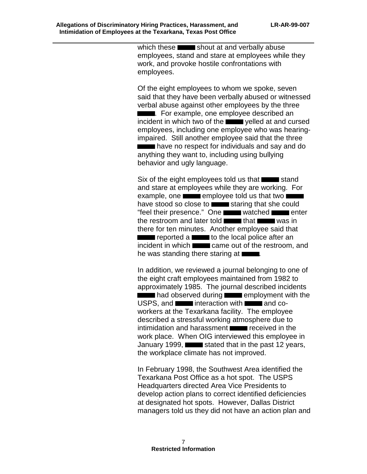which these  $\blacksquare$  shout at and verbally abuse employees, stand and stare at employees while they work, and provoke hostile confrontations with employees.

Of the eight employees to whom we spoke, seven said that they have been verbally abused or witnessed verbal abuse against other employees by the three **THE EXAMPLE**. For example, one employee described an incident in which two of the **yelled** at and cursed employees, including one employee who was hearingimpaired. Still another employee said that the three **Figure 1** have no respect for individuals and say and do anything they want to, including using bullying behavior and ugly language.

Six of the eight employees told us that  $\blacksquare$  stand and stare at employees while they are working. For example, one  $\blacksquare$  employee told us that two  $\blacksquare$ have stood so close to staring that she could "feel their presence." One watched **watched** enter the restroom and later told  $\blacksquare$  that was in there for ten minutes. Another employee said that **The reported a set of the local police after an**  $i$ ncident in which  $\blacksquare$  came out of the restroom, and he was standing there staring at  $\Box$ .

In addition, we reviewed a journal belonging to one of the eight craft employees maintained from 1982 to approximately 1985. The journal described incidents **Example 2** had observed during **EXAMPLE 2014** employment with the  $USPS$ , and **interaction with and co**workers at the Texarkana facility. The employee described a stressful working atmosphere due to intimidation and harassment **received** in the work place. When OIG interviewed this employee in January 1999,  $\blacksquare$  stated that in the past 12 years, the workplace climate has not improved.

In February 1998, the Southwest Area identified the Texarkana Post Office as a hot spot. The USPS Headquarters directed Area Vice Presidents to develop action plans to correct identified deficiencies at designated hot spots. However, Dallas District managers told us they did not have an action plan and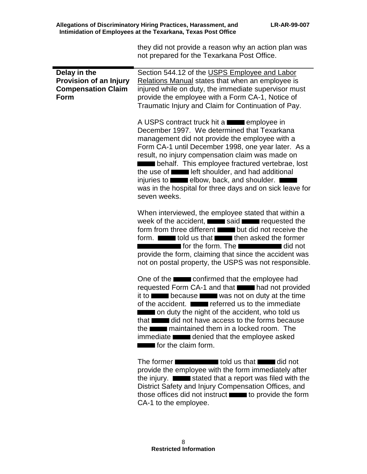|                                                                                           | they did not provide a reason why an action plan was<br>not prepared for the Texarkana Post Office.                                                                                                                                                                                                                                                                                                                                                                                                                               |
|-------------------------------------------------------------------------------------------|-----------------------------------------------------------------------------------------------------------------------------------------------------------------------------------------------------------------------------------------------------------------------------------------------------------------------------------------------------------------------------------------------------------------------------------------------------------------------------------------------------------------------------------|
| Delay in the<br><b>Provision of an Injury</b><br><b>Compensation Claim</b><br><b>Form</b> | Section 544.12 of the USPS Employee and Labor<br>Relations Manual states that when an employee is<br>injured while on duty, the immediate supervisor must<br>provide the employee with a Form CA-1, Notice of<br>Traumatic Injury and Claim for Continuation of Pay.                                                                                                                                                                                                                                                              |
|                                                                                           | A USPS contract truck hit a<br>December 1997. We determined that Texarkana<br>management did not provide the employee with a<br>Form CA-1 until December 1998, one year later. As a<br>result, no injury compensation claim was made on<br>behalf. This employee fractured vertebrae, lost<br>the use of <b>The Lands</b> left shoulder, and had additional<br>injuries to <b>we design to elected</b> elbow, back, and shoulder.<br>was in the hospital for three days and on sick leave for<br>seven weeks.                     |
|                                                                                           | When interviewed, the employee stated that within a<br>week of the accident, <b>Network</b> said <b>EXCO</b> requested the<br>form from three different <b>Details</b> but did not receive the<br>form. <b>The lines of the lines of the team</b> then asked the former<br>for the form. The <b>security and state of the form</b> did not<br>provide the form, claiming that since the accident was<br>not on postal property, the USPS was not responsible.                                                                     |
|                                                                                           | One of the confirmed that the employee had<br>requested Form CA-1 and that <b>Theory and not provided</b><br>it to <b>the security</b> because <b>the security</b> was not on duty at the time<br>of the accident. <b>Example 2</b> referred us to the immediate<br>on duty the night of the accident, who told us<br>that did not have access to the forms because<br>the <b>normally</b> maintained them in a locked room. The<br>immediate <b>the dentity of that the employee asked</b><br>$\blacksquare$ for the claim form. |
|                                                                                           | The former state of the total us that the did not<br>provide the employee with the form immediately after                                                                                                                                                                                                                                                                                                                                                                                                                         |

the injury.  $\Box$  stated that a report was filed with the District Safety and Injury Compensation Offices, and those offices did not instruct **the set of the form** CA-1 to the employee.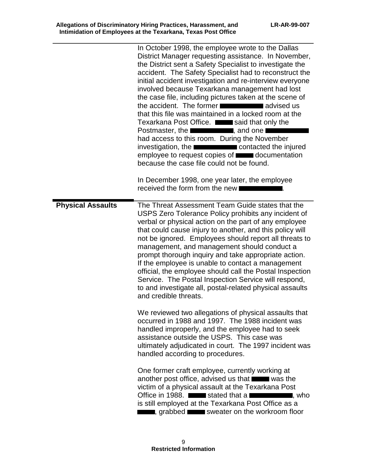|                          | In October 1998, the employee wrote to the Dallas<br>District Manager requesting assistance. In November,<br>the District sent a Safety Specialist to investigate the<br>accident. The Safety Specialist had to reconstruct the<br>initial accident investigation and re-interview everyone<br>involved because Texarkana management had lost<br>the case file, including pictures taken at the scene of<br>the accident. The former<br>that this file was maintained in a locked room at the<br>Texarkana Post Office. said that only the<br>Postmaster, the <b>Election Contract Postmaster</b> , and one I<br>had access to this room. During the November<br>investigation, the <b>EXECUTE:</b> contacted the injured<br>employee to request copies of <b>contact</b> documentation<br>because the case file could not be found.<br>In December 1998, one year later, the employee<br>received the form from the new |
|--------------------------|--------------------------------------------------------------------------------------------------------------------------------------------------------------------------------------------------------------------------------------------------------------------------------------------------------------------------------------------------------------------------------------------------------------------------------------------------------------------------------------------------------------------------------------------------------------------------------------------------------------------------------------------------------------------------------------------------------------------------------------------------------------------------------------------------------------------------------------------------------------------------------------------------------------------------|
| <b>Physical Assaults</b> | The Threat Assessment Team Guide states that the<br>USPS Zero Tolerance Policy prohibits any incident of<br>verbal or physical action on the part of any employee<br>that could cause injury to another, and this policy will<br>not be ignored. Employees should report all threats to<br>management, and management should conduct a<br>prompt thorough inquiry and take appropriate action.<br>If the employee is unable to contact a management<br>official, the employee should call the Postal Inspection<br>Service. The Postal Inspection Service will respond,<br>to and investigate all, postal-related physical assaults<br>and credible threats.                                                                                                                                                                                                                                                             |
|                          | We reviewed two allegations of physical assaults that<br>occurred in 1988 and 1997. The 1988 incident was<br>handled improperly, and the employee had to seek<br>assistance outside the USPS. This case was<br>ultimately adjudicated in court. The 1997 incident was<br>handled according to procedures.                                                                                                                                                                                                                                                                                                                                                                                                                                                                                                                                                                                                                |
|                          | One former craft employee, currently working at<br>another post office, advised us that was the<br>victim of a physical assault at the Texarkana Post<br>Office in 1988. Solution stated that a state of the state of the state of the state of the state of the state o<br>is still employed at the Texarkana Post Office as a<br>grabbed sweater on the workroom floor                                                                                                                                                                                                                                                                                                                                                                                                                                                                                                                                                 |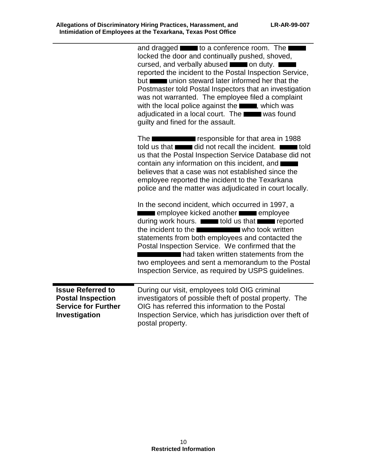|                                                                                                     | and dragged <b>the set of a conference room.</b> The <b>I</b><br>locked the door and continually pushed, shoved,<br>cursed, and verbally abused <b>the same on duty.</b><br>reported the incident to the Postal Inspection Service,<br>but which steward later informed her that the<br>Postmaster told Postal Inspectors that an investigation<br>was not warranted. The employee filed a complaint<br>with the local police against the <b>New 19, which was</b><br>adjudicated in a local court. The was found<br>guilty and fined for the assault.                                                                                                                   |
|-----------------------------------------------------------------------------------------------------|--------------------------------------------------------------------------------------------------------------------------------------------------------------------------------------------------------------------------------------------------------------------------------------------------------------------------------------------------------------------------------------------------------------------------------------------------------------------------------------------------------------------------------------------------------------------------------------------------------------------------------------------------------------------------|
|                                                                                                     | The <b>Contract Contract Contract Contract Contract Contract Contract Contract Contract Contract Contract Contract Contract Contract Contract Contract Contract Contract Contract Contract Contract Contract Contract Contract C</b><br>told us that did not recall the incident.<br>us that the Postal Inspection Service Database did not<br>contain any information on this incident, and<br>believes that a case was not established since the<br>employee reported the incident to the Texarkana<br>police and the matter was adjudicated in court locally.                                                                                                         |
|                                                                                                     | In the second incident, which occurred in 1997, a<br>employee kicked another <b>the employee</b><br>during work hours. <b>The about that are all to about the contract of the state of the contract of the contract of the contract of the contract of the contract of the contract of the contract of the contract of the contract </b><br>the incident to the <b>EXALC EXAMPLE IDENT</b> who took written<br>statements from both employees and contacted the<br>Postal Inspection Service. We confirmed that the<br>had taken written statements from the<br>two employees and sent a memorandum to the Postal<br>Inspection Service, as required by USPS guidelines. |
| <b>Issue Referred to</b><br><b>Postal Inspection</b><br><b>Service for Further</b><br>Investigation | During our visit, employees told OIG criminal<br>investigators of possible theft of postal property. The<br>OIG has referred this information to the Postal<br>Inspection Service, which has jurisdiction over theft of<br>postal property.                                                                                                                                                                                                                                                                                                                                                                                                                              |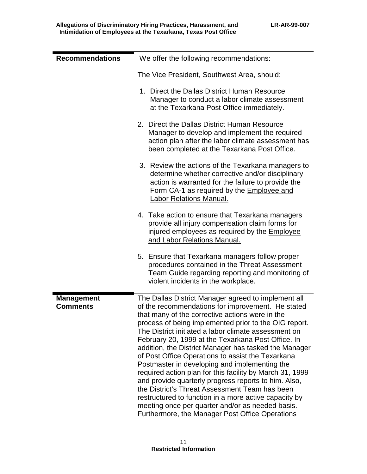| <b>Recommendations</b>               | We offer the following recommendations:                                                                                                                                                                                                                                                                                                                                                                                                                                                                                                                                                                                                                                                                                                                                                                                                 |
|--------------------------------------|-----------------------------------------------------------------------------------------------------------------------------------------------------------------------------------------------------------------------------------------------------------------------------------------------------------------------------------------------------------------------------------------------------------------------------------------------------------------------------------------------------------------------------------------------------------------------------------------------------------------------------------------------------------------------------------------------------------------------------------------------------------------------------------------------------------------------------------------|
|                                      | The Vice President, Southwest Area, should:                                                                                                                                                                                                                                                                                                                                                                                                                                                                                                                                                                                                                                                                                                                                                                                             |
|                                      | 1. Direct the Dallas District Human Resource<br>Manager to conduct a labor climate assessment<br>at the Texarkana Post Office immediately.                                                                                                                                                                                                                                                                                                                                                                                                                                                                                                                                                                                                                                                                                              |
|                                      | 2. Direct the Dallas District Human Resource<br>Manager to develop and implement the required<br>action plan after the labor climate assessment has<br>been completed at the Texarkana Post Office.                                                                                                                                                                                                                                                                                                                                                                                                                                                                                                                                                                                                                                     |
|                                      | 3. Review the actions of the Texarkana managers to<br>determine whether corrective and/or disciplinary<br>action is warranted for the failure to provide the<br>Form CA-1 as required by the Employee and<br>Labor Relations Manual.                                                                                                                                                                                                                                                                                                                                                                                                                                                                                                                                                                                                    |
|                                      | 4. Take action to ensure that Texarkana managers<br>provide all injury compensation claim forms for<br>injured employees as required by the <b>Employee</b><br>and Labor Relations Manual.                                                                                                                                                                                                                                                                                                                                                                                                                                                                                                                                                                                                                                              |
|                                      | 5. Ensure that Texarkana managers follow proper<br>procedures contained in the Threat Assessment<br>Team Guide regarding reporting and monitoring of<br>violent incidents in the workplace.                                                                                                                                                                                                                                                                                                                                                                                                                                                                                                                                                                                                                                             |
| <b>Management</b><br><b>Comments</b> | The Dallas District Manager agreed to implement all<br>of the recommendations for improvement. He stated<br>that many of the corrective actions were in the<br>process of being implemented prior to the OIG report.<br>The District initiated a labor climate assessment on<br>February 20, 1999 at the Texarkana Post Office. In<br>addition, the District Manager has tasked the Manager<br>of Post Office Operations to assist the Texarkana<br>Postmaster in developing and implementing the<br>required action plan for this facility by March 31, 1999<br>and provide quarterly progress reports to him. Also,<br>the District's Threat Assessment Team has been<br>restructured to function in a more active capacity by<br>meeting once per quarter and/or as needed basis.<br>Furthermore, the Manager Post Office Operations |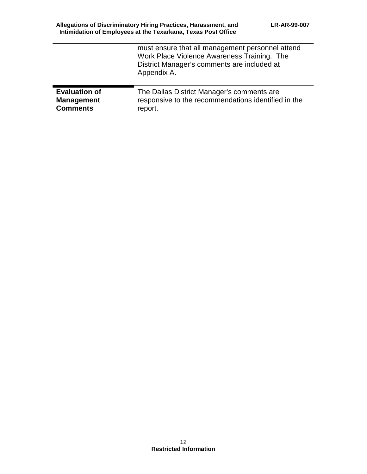|                      | must ensure that all management personnel attend<br>Work Place Violence Awareness Training. The<br>District Manager's comments are included at<br>Appendix A. |
|----------------------|---------------------------------------------------------------------------------------------------------------------------------------------------------------|
| <b>Evaluation of</b> | The Dallas District Manager's comments are                                                                                                                    |
| <b>Management</b>    | responsive to the recommendations identified in the                                                                                                           |
| <b>Comments</b>      | report.                                                                                                                                                       |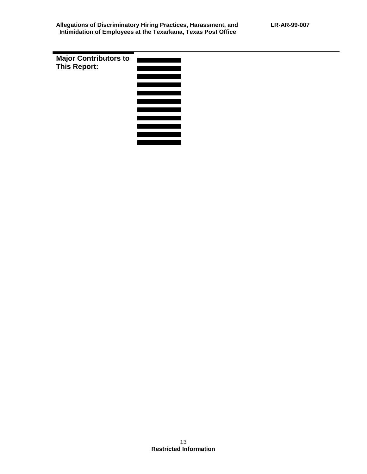**Major Contributors to This Report:** 

| <u>e de la provincia de la provincia de la provincia de la provincia de la provincia de la provincia de la provi</u> |  |
|----------------------------------------------------------------------------------------------------------------------|--|
|                                                                                                                      |  |
|                                                                                                                      |  |
|                                                                                                                      |  |
|                                                                                                                      |  |
|                                                                                                                      |  |
|                                                                                                                      |  |
|                                                                                                                      |  |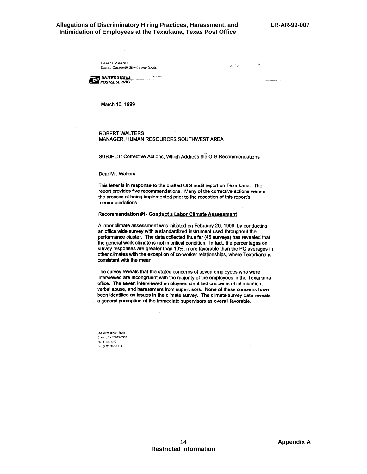$\vec{\omega}$  ,  $\vec{\omega}$  ,

 $\mathcal{Z}$ 

### **Allegations of Discriminatory Hiring Practices, Harassment, and LR-AR-99-007 Intimidation of Employees at the Texarkana, Texas Post Office**

**DISTRICT MANAGER** DALLAS CUSTOMER SERVICE AND SALES

UNITED STATES **EXAMPLE OF STATES** 

March 16, 1999

### **ROBERT WALTERS** MANAGER, HUMAN RESOURCES SOUTHWEST AREA

**B** Samples

SUBJECT: Corrective Actions, Which Address the OIG Recommendations

#### Dear Mr. Walters:

This letter is in response to the drafted OIG audit report on Texarkana. The report provides five recommendations. Many of the corrective actions were in the process of being implemented prior to the reception of this report's recommendations.

#### Recommendation #1- Conduct a Labor Climate Assessment

A labor climate assessment was initiated on February 20, 1999, by conducting an office wide survey with a standardized instrument used throughout the performance cluster. The data collected thus far (45 surveys) has revealed that the general work climate is not in critical condition. In fact, the percentages on survey responses are greater than 10%, more favorable than the PC averages in other climates with the exception of co-worker relationships, where Texarkana is consistent with the mean.

The survey reveals that the stated concerns of seven employees who were interviewed are incongruent with the majority of the employees in the Texarkana office. The seven interviewed employees identified concerns of intimidation, verbal abuse, and harassment from supervisors. None of these concerns have been identified as issues in the climate survey. The climate survey data reveals a general perception of the immediate supervisors as overall favorable.

951 WEST BETHEL ROAD COPPELL TX 75099-9998 (972) 393-6787 FAX (972) 393-6198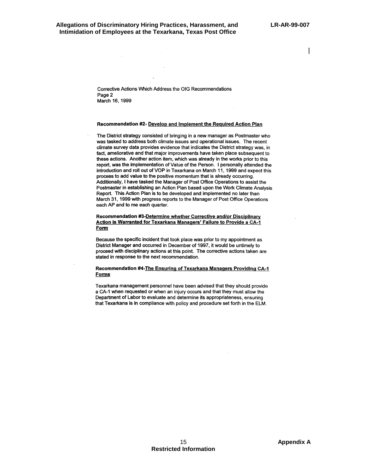Corrective Actions Which Address the OIG Recommendations Page 2 March 16, 1999

#### Recommendation #2- Develop and Implement the Required Action Plan

The District strategy consisted of bringing in a new manager as Postmaster who was tasked to address both climate issues and operational issues. The recent climate survey data provides evidence that indicates the District strategy was, in fact, ameliorative and that major improvements have taken place subsequent to these actions. Another action item, which was already in the works prior to this report, was the implementation of Value of the Person. I personally attended the introduction and roll out of VOP in Texarkana on March 11, 1999 and expect this process to add value to the positive momentum that is already occurring. Additionally, I have tasked the Manager of Post Office Operations to assist the Postmaster in establishing an Action Plan based upon the Work Climate Analysis Report. This Action Plan is to be developed and implemented no later than March 31, 1999 with progress reports to the Manager of Post Office Operations each AP and to me each quarter.

### Recommendation #3-Determine whether Corrective and/or Disciplinary Action is Warranted for Texarkana Managers' Failure to Provide a CA-1 **Form**

Because the specific incident that took place was prior to my appointment as District Manager and occurred in December of 1997, it would be untimely to proceed with disciplinary actions at this point. The corrective actions taken are stated in response to the next recommendation.

#### Recommendation #4-The Ensuring of Texarkana Managers Providing CA-1 **Forms**

Texarkana management personnel have been advised that they should provide a CA-1 when requested or when an injury occurs and that they must allow the Department of Labor to evaluate and determine its appropriateness, ensuring that Texarkana is in compliance with policy and procedure set forth in the ELM.